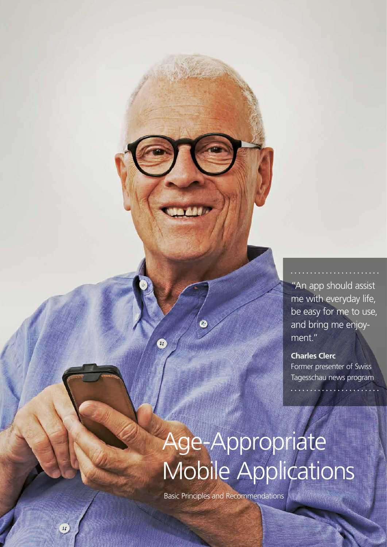"An app should assist me with everyday life, be easy for me to use, and bring me enjoyment."

**Charles Clerc** Former presenter of Swiss Tagesschau news program

# Age-Appropriate Mobile Applications

Basic Principles and Recommendations

 $\alpha$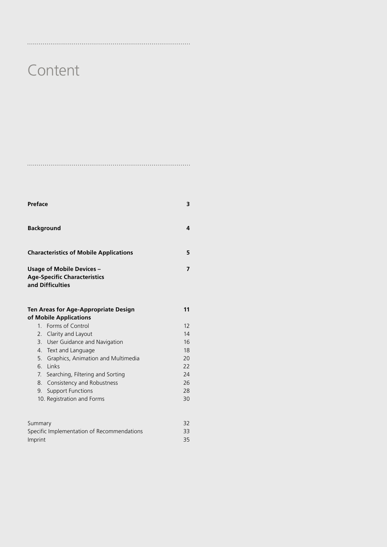# **Content**

| <b>Preface</b>                                | з |
|-----------------------------------------------|---|
| <b>Background</b>                             | Δ |
| <b>Characteristics of Mobile Applications</b> | 5 |

### **Usage of Mobile Devices – 7 Age-Specific Characteristics and Difficulties**

| Ten Areas for Age-Appropriate Design |                                       | 11 |
|--------------------------------------|---------------------------------------|----|
|                                      | of Mobile Applications                |    |
|                                      | 1. Forms of Control                   | 12 |
|                                      | 2. Clarity and Layout                 | 14 |
|                                      | 3. User Guidance and Navigation       | 16 |
|                                      | 4 Text and Language                   | 18 |
|                                      | 5. Graphics, Animation and Multimedia | 20 |
| 6                                    | Links                                 | 22 |
|                                      | 7. Searching, Filtering and Sorting   | 24 |
|                                      | 8. Consistency and Robustness         | 26 |
| 9.                                   | Support Functions                     | 28 |
|                                      | 10. Registration and Forms            | 30 |

| Summary                                    | 32 |
|--------------------------------------------|----|
| Specific Implementation of Recommendations | 33 |
| Imprint                                    | 35 |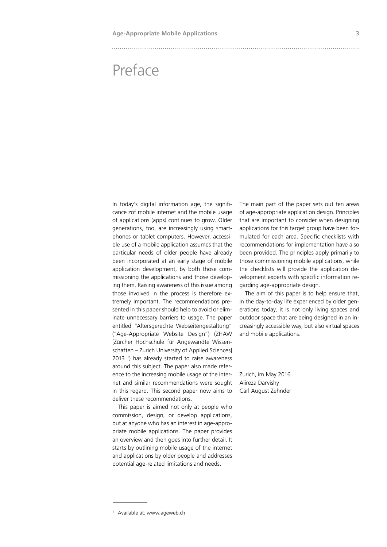# Preface

In today's digital information age, the significance zof mobile internet and the mobile usage of applications (apps) continues to grow. Older generations, too, are increasingly using smartphones or tablet computers. However, accessible use of a mobile application assumes that the particular needs of older people have already been incorporated at an early stage of mobile application development, by both those commissioning the applications and those developing them. Raising awareness of this issue among those involved in the process is therefore extremely important. The recommendations presented in this paper should help to avoid or eliminate unnecessary barriers to usage. The paper entitled "Altersgerechte Webseitengestaltung" ("Age-Appropriate Website Design") (ZHAW [Zürcher Hochschule für Angewandte Wissenschaften – Zurich University of Applied Sciences] 2013 1 ) has already started to raise awareness around this subject. The paper also made reference to the increasing mobile usage of the internet and similar recommendations were sought in this regard. This second paper now aims to deliver these recommendations.

This paper is aimed not only at people who commission, design, or develop applications, but at anyone who has an interest in age-appropriate mobile applications. The paper provides an overview and then goes into further detail. It starts by outlining mobile usage of the internet and applications by older people and addresses potential age-related limitations and needs.

The main part of the paper sets out ten areas of age-appropriate application design. Principles that are important to consider when designing applications for this target group have been formulated for each area. Specific checklists with recommendations for implementation have also been provided. The principles apply primarily to those commissioning mobile applications, while the checklists will provide the application development experts with specific information regarding age-appropriate design.

The aim of this paper is to help ensure that, in the day-to-day life experienced by older generations today, it is not only living spaces and outdoor space that are being designed in an increasingly accessible way, but also virtual spaces and mobile applications.

Zurich, im May 2016 Alireza Darvishy Carl August Zehnder

<sup>1</sup> Available at: www.ageweb.ch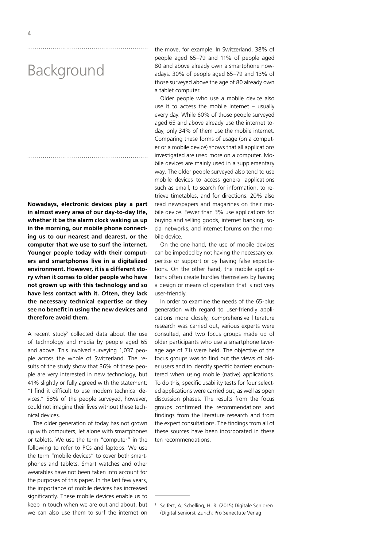# Background

**Nowadays, electronic devices play a part in almost every area of our day-to-day life, whether it be the alarm clock waking us up in the morning, our mobile phone connecting us to our nearest and dearest, or the computer that we use to surf the internet. Younger people today with their computers and smartphones live in a digitalized environment. However, it is a different story when it comes to older people who have not grown up with this technology and so have less contact with it. Often, they lack the necessary technical expertise or they see no benefit in using the new devices and therefore avoid them.**

A recent study<sup>2</sup> collected data about the use of technology and media by people aged 65 and above. This involved surveying 1,037 people across the whole of Switzerland. The results of the study show that 36% of these people are very interested in new technology, but 41% slightly or fully agreed with the statement: "I find it difficult to use modern technical devices." 58% of the people surveyed, however, could not imagine their lives without these technical devices.

The older generation of today has not grown up with computers, let alone with smartphones or tablets. We use the term "computer" in the following to refer to PCs and laptops. We use the term "mobile devices" to cover both smartphones and tablets. Smart watches and other wearables have not been taken into account for the purposes of this paper. In the last few years, the importance of mobile devices has increased significantly. These mobile devices enable us to keep in touch when we are out and about, but we can also use them to surf the internet on

the move, for example. In Switzerland, 38% of people aged 65–79 and 11% of people aged 80 and above already own a smartphone nowadays. 30% of people aged 65–79 and 13% of those surveyed above the age of 80 already own a tablet computer.

Older people who use a mobile device also use it to access the mobile internet – usually every day. While 60% of those people surveyed aged 65 and above already use the internet today, only 34% of them use the mobile internet. Comparing these forms of usage (on a computer or a mobile device) shows that all applications investigated are used more on a computer. Mobile devices are mainly used in a supplementary way. The older people surveyed also tend to use mobile devices to access general applications such as email, to search for information, to retrieve timetables, and for directions. 20% also read newspapers and magazines on their mobile device. Fewer than 3% use applications for buying and selling goods, internet banking, social networks, and internet forums on their mobile device.

On the one hand, the use of mobile devices can be impeded by not having the necessary expertise or support or by having false expectations. On the other hand, the mobile applications often create hurdles themselves by having a design or means of operation that is not very user-friendly.

In order to examine the needs of the 65-plus generation with regard to user-friendly applications more closely, comprehensive literature research was carried out, various experts were consulted, and two focus groups made up of older participants who use a smartphone (average age of 71) were held. The objective of the focus groups was to find out the views of older users and to identify specific barriers encountered when using mobile (native) applications. To do this, specific usability tests for four selected applications were carried out, as well as open discussion phases. The results from the focus groups confirmed the recommendations and findings from the literature research and from the expert consultations. The findings from all of these sources have been incorporated in these ten recommendations.

Seifert, A; Schelling, H. R. (2015) Digitale Senioren (Digital Seniors). Zurich: Pro Senectute Verlag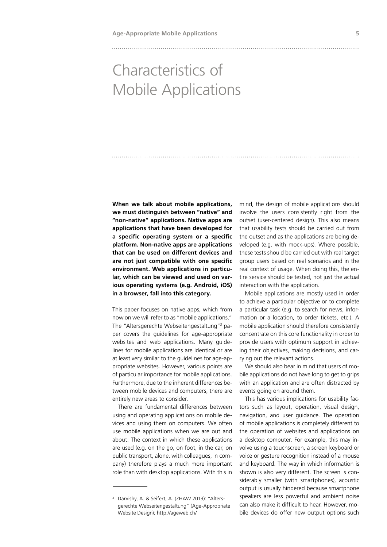# Characteristics of Mobile Applications

**When we talk about mobile applications, we must distinguish between "native" and "non-native" applications. Native apps are applications that have been developed for a specific operating system or a specific platform. Non-native apps are applications that can be used on different devices and are not just compatible with one specific environment. Web applications in particular, which can be viewed and used on various operating systems (e.g. Android, iOS) in a browser, fall into this category.**

This paper focuses on native apps, which from now on we will refer to as "mobile applications." The "Altersgerechte Webseitengestaltung"3 paper covers the guidelines for age-appropriate websites and web applications. Many guidelines for mobile applications are identical or are at least very similar to the guidelines for age-appropriate websites. However, various points are of particular importance for mobile applications. Furthermore, due to the inherent differences between mobile devices and computers, there are entirely new areas to consider.

There are fundamental differences between using and operating applications on mobile devices and using them on computers. We often use mobile applications when we are out and about. The context in which these applications are used (e.g. on the go, on foot, in the car, on public transport, alone, with colleagues, in company) therefore plays a much more important role than with desktop applications. With this in

mind, the design of mobile applications should involve the users consistently right from the outset (user-centered design). This also means that usability tests should be carried out from the outset and as the applications are being developed (e.g. with mock-ups). Where possible, these tests should be carried out with real target group users based on real scenarios and in the real context of usage. When doing this, the entire service should be tested, not just the actual interaction with the application.

Mobile applications are mostly used in order to achieve a particular objective or to complete a particular task (e.g. to search for news, information or a location, to order tickets, etc.). A mobile application should therefore consistently concentrate on this core functionality in order to provide users with optimum support in achieving their objectives, making decisions, and carrying out the relevant actions.

We should also bear in mind that users of mobile applications do not have long to get to grips with an application and are often distracted by events going on around them.

This has various implications for usability factors such as layout, operation, visual design, navigation, and user guidance. The operation of mobile applications is completely different to the operation of websites and applications on a desktop computer. For example, this may involve using a touchscreen, a screen keyboard or voice or gesture recognition instead of a mouse and keyboard. The way in which information is shown is also very different. The screen is considerably smaller (with smartphones), acoustic output is usually hindered because smartphone speakers are less powerful and ambient noise can also make it difficult to hear. However, mobile devices do offer new output options such

<sup>&</sup>lt;sup>3</sup> Darvishy, A. & Seifert, A. (ZHAW 2013): "Altersgerechte Webseitengestaltung" (Age-Appropriate Website Design); http://ageweb.ch/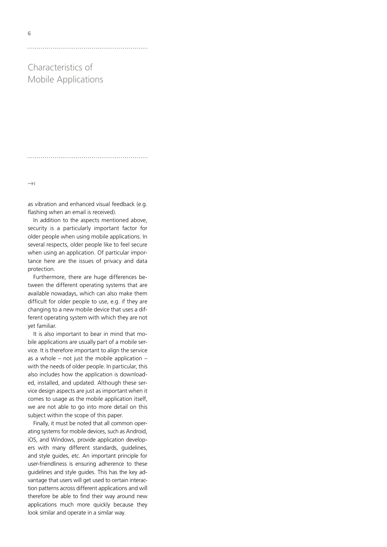Characteristics of Mobile Applications

 $\rightarrow$ 

**6**

as vibration and enhanced visual feedback (e.g. flashing when an email is received).

In addition to the aspects mentioned above, security is a particularly important factor for older people when using mobile applications. In several respects, older people like to feel secure when using an application. Of particular importance here are the issues of privacy and data protection.

Furthermore, there are huge differences between the different operating systems that are available nowadays, which can also make them difficult for older people to use, e.g. if they are changing to a new mobile device that uses a different operating system with which they are not yet familiar.

It is also important to bear in mind that mobile applications are usually part of a mobile service. It is therefore important to align the service as a whole – not just the mobile application – with the needs of older people. In particular, this also includes how the application is downloaded, installed, and updated. Although these service design aspects are just as important when it comes to usage as the mobile application itself, we are not able to go into more detail on this subject within the scope of this paper.

Finally, it must be noted that all common operating systems for mobile devices, such as Android, iOS, and Windows, provide application developers with many different standards, guidelines, and style guides, etc. An important principle for user-friendliness is ensuring adherence to these guidelines and style guides. This has the key advantage that users will get used to certain interaction patterns across different applications and will therefore be able to find their way around new applications much more quickly because they look similar and operate in a similar way.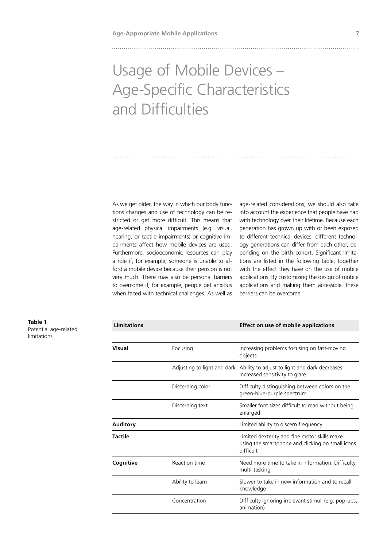# Usage of Mobile Devices – Age-Specific Characteristics and Difficulties

As we get older, the way in which our body functions changes and use of technology can be restricted or get more difficult. This means that age-related physical impairments (e.g. visual, hearing, or tactile impairments) or cognitive impairments affect how mobile devices are used. Furthermore, socioeconomic resources can play a role if, for example, someone is unable to afford a mobile device because their pension is not very much. There may also be personal barriers to overcome if, for example, people get anxious when faced with technical challenges. As well as

age-related considerations, we should also take into account the experience that people have had with technology over their lifetime. Because each generation has grown up with or been exposed to different technical devices, different technology generations can differ from each other, depending on the birth cohort. Significant limitations are listed in the following table, together with the effect they have on the use of mobile applications. By customizing the design of mobile applications and making them accessible, these barriers can be overcome.

Potential age-related limitations

| Visual    | Focusing         | Increasing problems focusing on fast-moving<br>objects                                                        |
|-----------|------------------|---------------------------------------------------------------------------------------------------------------|
|           |                  | Adjusting to light and dark Ability to adjust to light and dark decreases.<br>Increased sensitivity to glare  |
|           | Discerning color | Difficulty distinguishing between colors on the<br>green-blue-purple spectrum                                 |
|           | Discerning text  | Smaller font sizes difficult to read without being<br>enlarged                                                |
| Auditory  |                  | Limited ability to discern frequency                                                                          |
| Tactile   |                  | Limited dexterity and fine motor skills make<br>using the smartphone and clicking on small icons<br>difficult |
| Cognitive | Reaction time    | Need more time to take in information. Difficulty<br>multi-tasking                                            |
|           | Ability to learn | Slower to take in new information and to recall<br>knowledge                                                  |
|           | Concentration    | Difficulty ignoring irrelevant stimuli (e.g. pop-ups,<br>animation)                                           |
|           |                  |                                                                                                               |

 **Limitations Effect on use of mobile applications**

# **Table 1**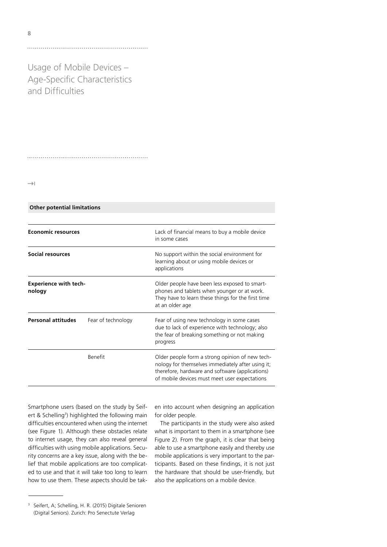Usage of Mobile Devices – Age-Specific Characteristics and Difficulties

 $\rightarrow$ 

 **Other potential limitations**

| <b>Economic resources</b><br>Social resources |                    | Lack of financial means to buy a mobile device<br>in some cases<br>No support within the social environment for<br>learning about or using mobile devices or<br>applications                             |  |
|-----------------------------------------------|--------------------|----------------------------------------------------------------------------------------------------------------------------------------------------------------------------------------------------------|--|
|                                               |                    |                                                                                                                                                                                                          |  |
| <b>Personal attitudes</b>                     | Fear of technology | Fear of using new technology in some cases<br>due to lack of experience with technology; also<br>the fear of breaking something or not making<br>progress                                                |  |
|                                               | <b>Benefit</b>     | Older people form a strong opinion of new tech-<br>nology for themselves immediately after using it;<br>therefore, hardware and software (applications)<br>of mobile devices must meet user expectations |  |

Smartphone users (based on the study by Seifert & Schelling<sup>3</sup>) highlighted the following main difficulties encountered when using the internet (see Figure 1). Although these obstacles relate to internet usage, they can also reveal general difficulties with using mobile applications. Security concerns are a key issue, along with the belief that mobile applications are too complicated to use and that it will take too long to learn how to use them. These aspects should be tak-

en into account when designing an application for older people.

The participants in the study were also asked what is important to them in a smartphone (see Figure 2). From the graph, it is clear that being able to use a smartphone easily and thereby use mobile applications is very important to the participants. Based on these findings, it is not just the hardware that should be user-friendly, but also the applications on a mobile device.

<sup>3</sup> Seifert, A; Schelling, H. R. (2015) Digitale Senioren (Digital Seniors). Zurich: Pro Senectute Verlag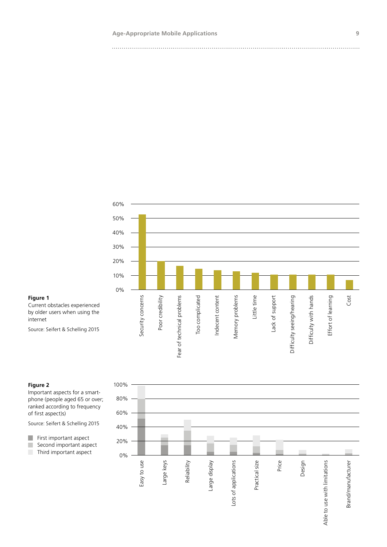

### **Figure 1**

Current obstacles experienced by older users when using the internet

Source: Seifert & Schelling 2015

### **Figure 2**

Important aspects for a smartphone (people aged 65 or over; ranked according to frequency of first aspect)s)

Source: Seifert & Schelling 2015

First important aspect Second important aspect Third important aspect

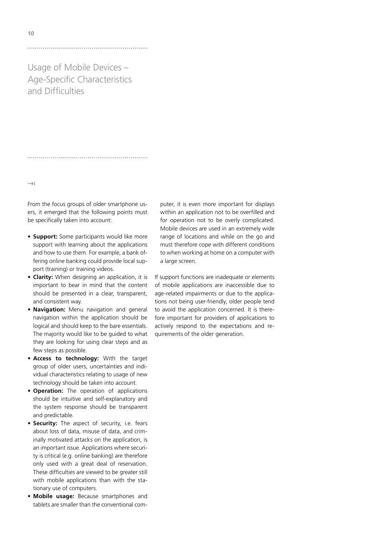Usage of Mobile Devices – Age-Specific Characteristics and Difficulties

 $\rightarrow$ 

From the focus groups of older smartphone users, it emerged that the following points must be specifically taken into account:

- **Support:** Some participants would like more support with learning about the applications and how to use them. For example, a bank offering online banking could provide local support (training) or training videos.
- **Clarity:** When designing an application, it is important to bear in mind that the content should be presented in a clear, transparent, and consistent way.
- **Navigation:** Menu navigation and general navigation within the application should be logical and should keep to the bare essentials. The majority would like to be guided to what they are looking for using clear steps and as few steps as possible.
- **Access to technology:** With the target group of older users, uncertainties and individual characteristics relating to usage of new technology should be taken into account.
- **Operation:** The operation of applications should be intuitive and self-explanatory and the system response should be transparent and predictable.
- **Security:** The aspect of security, i.e. fears about loss of data, misuse of data, and criminally motivated attacks on the application, is an important issue. Applications where security is critical (e.g. online banking) are therefore only used with a great deal of reservation. These difficulties are viewed to be greater still with mobile applications than with the stationary use of computers.
- **Mobile usage:** Because smartphones and tablets are smaller than the conventional com-

puter, it is even more important for displays within an application not to be overfilled and for operation not to be overly complicated. Mobile devices are used in an extremely wide range of locations and while on the go and must therefore cope with different conditions to when working at home on a computer with a large screen.

If support functions are inadequate or elements of mobile applications are inaccessible due to age-related impairments or due to the applications not being user-friendly, older people tend to avoid the application concerned. It is therefore important for providers of applications to actively respond to the expectations and requirements of the older generation.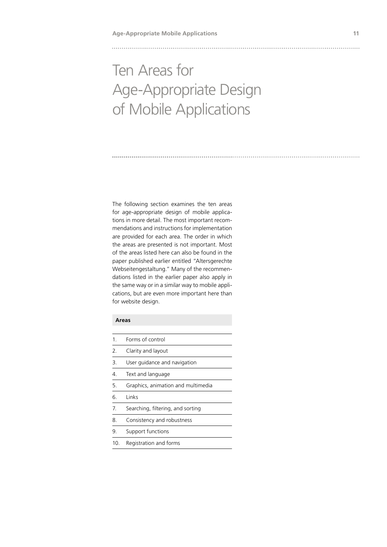# Ten Areas for Age-Appropriate Design of Mobile Applications

The following section examines the ten areas for age-appropriate design of mobile applications in more detail. The most important recommendations and instructions for implementation are provided for each area. The order in which the areas are presented is not important. Most of the areas listed here can also be found in the paper published earlier entitled "Altersgerechte Webseitengestaltung." Many of the recommendations listed in the earlier paper also apply in the same way or in a similar way to mobile applications, but are even more important here than for website design.

### **Areas**

| 1   | Forms of control                   |
|-----|------------------------------------|
| 2.  | Clarity and layout                 |
| 3.  | User quidance and navigation       |
| 4.  | Text and language                  |
| 5.  | Graphics, animation and multimedia |
| 6.  | Links                              |
| 7.  | Searching, filtering, and sorting  |
| 8.  | Consistency and robustness         |
| 9.  | Support functions                  |
| 10. | Registration and forms             |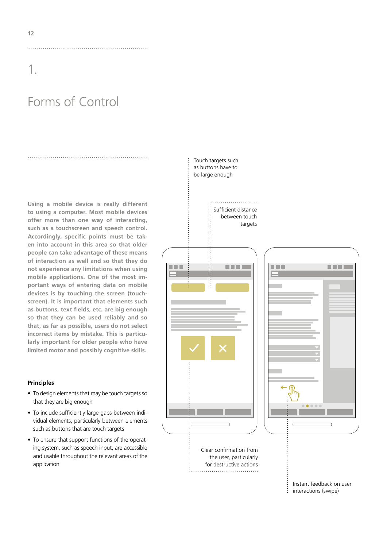# Forms of Control

**Using a mobile device is really different to using a computer. Most mobile devices offer more than one way of interacting, such as a touchscreen and speech control. Accordingly, specific points must be taken into account in this area so that older people can take advantage of these means of interaction as well and so that they do not experience any limitations when using mobile applications. One of the most important ways of entering data on mobile devices is by touching the screen (touchscreen). It is important that elements such as buttons, text fields, etc. are big enough so that they can be used reliably and so that, as far as possible, users do not select incorrect items by mistake. This is particularly important for older people who have limited motor and possibly cognitive skills.**

### **Principles**

- To design elements that may be touch targets so that they are big enough
- To include sufficiently large gaps between individual elements, particularly between elements such as buttons that are touch targets
- To ensure that support functions of the operating system, such as speech input, are accessible and usable throughout the relevant areas of the application



Instant feedback on user interactions (swipe)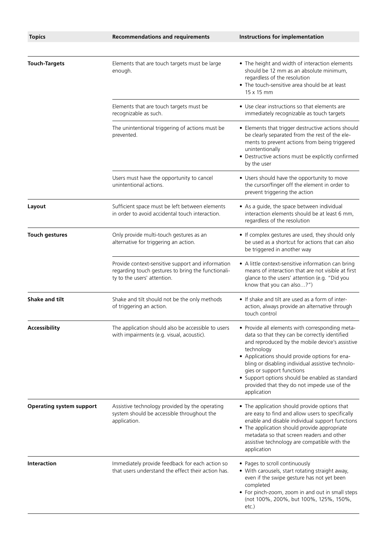| <b>Topics</b>                   | <b>Recommendations and requirements</b>                                                                                                | Instructions for implementation                                                                                                                                                                                                                                                                                                                                                                                        |
|---------------------------------|----------------------------------------------------------------------------------------------------------------------------------------|------------------------------------------------------------------------------------------------------------------------------------------------------------------------------------------------------------------------------------------------------------------------------------------------------------------------------------------------------------------------------------------------------------------------|
|                                 |                                                                                                                                        |                                                                                                                                                                                                                                                                                                                                                                                                                        |
| <b>Touch-Targets</b>            | Elements that are touch targets must be large<br>enough.                                                                               | • The height and width of interaction elements<br>should be 12 mm as an absolute minimum,<br>regardless of the resolution<br>• The touch-sensitive area should be at least<br>$15 \times 15$ mm                                                                                                                                                                                                                        |
|                                 | Elements that are touch targets must be<br>recognizable as such.                                                                       | • Use clear instructions so that elements are<br>immediately recognizable as touch targets                                                                                                                                                                                                                                                                                                                             |
|                                 | The unintentional triggering of actions must be<br>prevented.                                                                          | • Elements that trigger destructive actions should<br>be clearly separated from the rest of the ele-<br>ments to prevent actions from being triggered<br>unintentionally<br>• Destructive actions must be explicitly confirmed<br>by the user                                                                                                                                                                          |
|                                 | Users must have the opportunity to cancel<br>unintentional actions.                                                                    | • Users should have the opportunity to move<br>the cursor/finger off the element in order to<br>prevent triggering the action                                                                                                                                                                                                                                                                                          |
| Layout                          | Sufficient space must be left between elements<br>in order to avoid accidental touch interaction.                                      | • As a guide, the space between individual<br>interaction elements should be at least 6 mm,<br>regardless of the resolution                                                                                                                                                                                                                                                                                            |
| <b>Touch gestures</b>           | Only provide multi-touch gestures as an<br>alternative for triggering an action.                                                       | • If complex gestures are used, they should only<br>be used as a shortcut for actions that can also<br>be triggered in another way                                                                                                                                                                                                                                                                                     |
|                                 | Provide context-sensitive support and information<br>regarding touch gestures to bring the functionali-<br>ty to the users' attention. | • A little context-sensitive information can bring<br>means of interaction that are not visible at first<br>glance to the users' attention (e.g. "Did you<br>know that you can also?")                                                                                                                                                                                                                                 |
| <b>Shake and tilt</b>           | Shake and tilt should not be the only methods<br>of triggering an action.                                                              | • If shake and tilt are used as a form of inter-<br>action, always provide an alternative through<br>touch control                                                                                                                                                                                                                                                                                                     |
| Accessibility                   | The application should also be accessible to users<br>with impairments (e.g. visual, acoustic).                                        | • Provide all elements with corresponding meta-<br>data so that they can be correctly identified<br>and reproduced by the mobile device's assistive<br>technology<br>• Applications should provide options for ena-<br>bling or disabling individual assistive technolo-<br>gies or support functions<br>• Support options should be enabled as standard<br>provided that they do not impede use of the<br>application |
| <b>Operating system support</b> | Assistive technology provided by the operating<br>system should be accessible throughout the<br>application.                           | • The application should provide options that<br>are easy to find and allow users to specifically<br>enable and disable individual support functions<br>• The application should provide appropriate<br>metadata so that screen readers and other<br>assistive technology are compatible with the<br>application                                                                                                       |
| <b>Interaction</b>              | Immediately provide feedback for each action so<br>that users understand the effect their action has.                                  | • Pages to scroll continuously<br>• With carousels, start rotating straight away,<br>even if the swipe gesture has not yet been<br>completed<br>• For pinch-zoom, zoom in and out in small steps<br>(not 100%, 200%, but 100%, 125%, 150%,<br>etc.)                                                                                                                                                                    |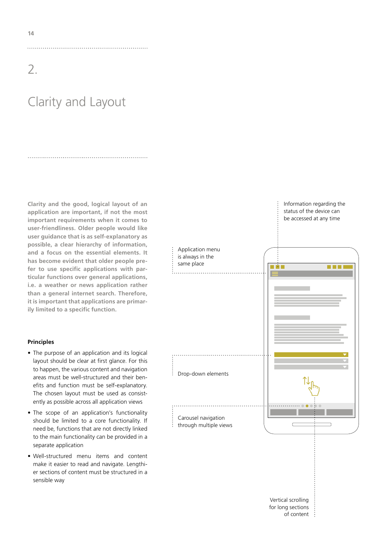# Clarity and Layout

**Clarity and the good, logical layout of an application are important, if not the most important requirements when it comes to user-friendliness. Older people would like user guidance that is as self-explanatory as possible, a clear hierarchy of information, and a focus on the essential elements. It has become evident that older people prefer to use specific applications with particular functions over general applications, i.e. a weather or news application rather than a general internet search. Therefore, it is important that applications are primarily limited to a specific function.**

### **Principles**

- The purpose of an application and its logical layout should be clear at first glance. For this to happen, the various content and navigation areas must be well-structured and their benefits and function must be self-explanatory. The chosen layout must be used as consistently as possible across all application views
- The scope of an application's functionality should be limited to a core functionality. If need be, functions that are not directly linked to the main functionality can be provided in a separate application
- Well-structured menu items and content make it easier to read and navigate. Lengthier sections of content must be structured in a sensible way



Information regarding the status of the device can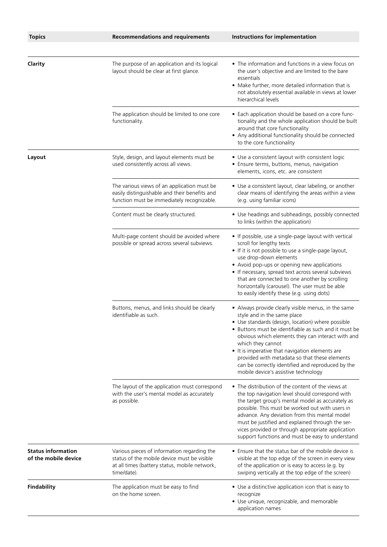| <b>Topics</b>                                     | <b>Recommendations and requirements</b>                                                                                                                    | Instructions for implementation                                                                                                                                                                                                                                                                                                                                                                                                                                             |
|---------------------------------------------------|------------------------------------------------------------------------------------------------------------------------------------------------------------|-----------------------------------------------------------------------------------------------------------------------------------------------------------------------------------------------------------------------------------------------------------------------------------------------------------------------------------------------------------------------------------------------------------------------------------------------------------------------------|
|                                                   |                                                                                                                                                            |                                                                                                                                                                                                                                                                                                                                                                                                                                                                             |
| Clarity                                           | The purpose of an application and its logical<br>layout should be clear at first glance.                                                                   | • The information and functions in a view focus on<br>the user's objective and are limited to the bare<br>essentials<br>• Make further, more detailed information that is<br>not absolutely essential available in views at lower<br>hierarchical levels                                                                                                                                                                                                                    |
|                                                   | The application should be limited to one core<br>functionality.                                                                                            | • Each application should be based on a core func-<br>tionality and the whole application should be built<br>around that core functionality<br>• Any additional functionality should be connected<br>to the core functionality                                                                                                                                                                                                                                              |
| Layout                                            | Style, design, and layout elements must be<br>used consistently across all views.                                                                          | • Use a consistent layout with consistent logic<br>• Ensure terms, buttons, menus, navigation<br>elements, icons, etc. are consistent                                                                                                                                                                                                                                                                                                                                       |
|                                                   | The various views of an application must be<br>easily distinguishable and their benefits and<br>function must be immediately recognizable.                 | • Use a consistent layout, clear labeling, or another<br>clear means of identifying the areas within a view<br>(e.g. using familiar icons)                                                                                                                                                                                                                                                                                                                                  |
|                                                   | Content must be clearly structured.                                                                                                                        | • Use headings and subheadings, possibly connected<br>to links (within the application)                                                                                                                                                                                                                                                                                                                                                                                     |
|                                                   | Multi-page content should be avoided where<br>possible or spread across several subviews.                                                                  | • If possible, use a single-page layout with vertical<br>scroll for lengthy texts<br>• If it is not possible to use a single-page layout,<br>use drop-down elements<br>• Avoid pop-ups or opening new applications<br>• If necessary, spread text across several subviews<br>that are connected to one another by scrolling<br>horizontally (carousel). The user must be able<br>to easily identify these (e.g. using dots)                                                 |
|                                                   | Buttons, menus, and links should be clearly<br>identifiable as such.                                                                                       | • Always provide clearly visible menus, in the same<br>style and in the same place<br>• Use standards (design, location) where possible<br>• Buttons must be identifiable as such and it must be<br>obvious which elements they can interact with and<br>which they cannot<br>• It is imperative that navigation elements are<br>provided with metadata so that these elements<br>can be correctly identified and reproduced by the<br>mobile device's assistive technology |
|                                                   | The layout of the application must correspond<br>with the user's mental model as accurately<br>as possible.                                                | • The distribution of the content of the views at<br>the top navigation level should correspond with<br>the target group's mental model as accurately as<br>possible. This must be worked out with users in<br>advance. Any deviation from this mental model<br>must be justified and explained through the ser-<br>vices provided or through appropriate application<br>support functions and must be easy to understand                                                   |
| <b>Status information</b><br>of the mobile device | Various pieces of information regarding the<br>status of the mobile device must be visible<br>at all times (battery status, mobile network,<br>time/date). | • Ensure that the status bar of the mobile device is<br>visible at the top edge of the screen in every view<br>of the application or is easy to access (e.g. by<br>swiping vertically at the top edge of the screen)                                                                                                                                                                                                                                                        |
| <b>Findability</b>                                | The application must be easy to find<br>on the home screen.                                                                                                | • Use a distinctive application icon that is easy to<br>recognize<br>• Use unique, recognizable, and memorable<br>application names                                                                                                                                                                                                                                                                                                                                         |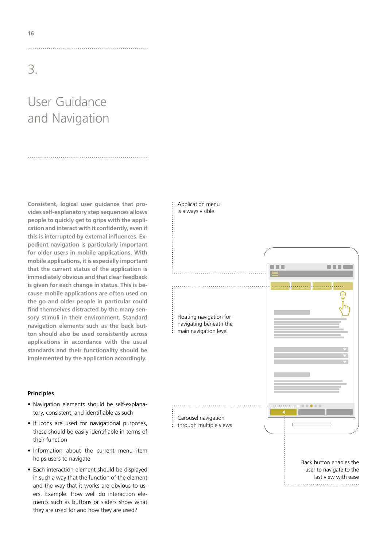# User Guidance and Navigation

**Consistent, logical user guidance that provides self-explanatory step sequences allows people to quickly get to grips with the application and interact with it confidently, even if this is interrupted by external influences. Expedient navigation is particularly important for older users in mobile applications. With mobile applications, it is especially important that the current status of the application is immediately obvious and that clear feedback is given for each change in status. This is because mobile applications are often used on the go and older people in particular could find themselves distracted by the many sensory stimuli in their environment. Standard navigation elements such as the back button should also be used consistently across applications in accordance with the usual standards and their functionality should be implemented by the application accordingly.**

### **Principles**

- Navigation elements should be self-explanatory, consistent, and identifiable as such
- If icons are used for navigational purposes, these should be easily identifiable in terms of their function
- Information about the current menu item helps users to navigate
- Each interaction element should be displayed in such a way that the function of the element and the way that it works are obvious to users. Example: How well do interaction elements such as buttons or sliders show what they are used for and how they are used?

### Application menu is always visible

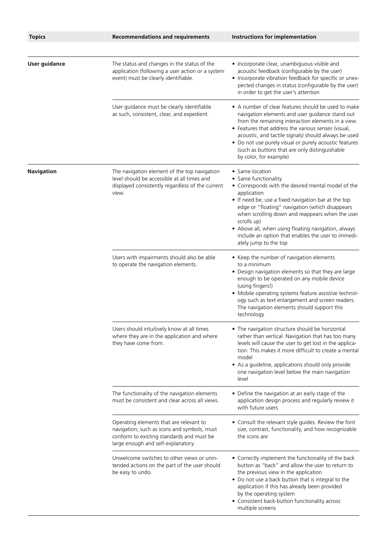| <b>Topics</b>        | <b>Recommendations and requirements</b>                                                                                                                                   | Instructions for implementation                                                                                                                                                                                                                                                                                                                                                                                                |
|----------------------|---------------------------------------------------------------------------------------------------------------------------------------------------------------------------|--------------------------------------------------------------------------------------------------------------------------------------------------------------------------------------------------------------------------------------------------------------------------------------------------------------------------------------------------------------------------------------------------------------------------------|
|                      |                                                                                                                                                                           |                                                                                                                                                                                                                                                                                                                                                                                                                                |
| <b>User guidance</b> | The status and changes in the status of the<br>application (following a user action or a system<br>event) must be clearly identifiable.                                   | • Incorporate clear, unambiguous visible and<br>acoustic feedback (configurable by the user)<br>• Incorporate vibration feedback for specific or unex-<br>pected changes in status (configurable by the user)<br>in order to get the user's attention                                                                                                                                                                          |
|                      | User guidance must be clearly identifiable<br>as such, consistent, clear, and expedient.                                                                                  | • A number of clear features should be used to make<br>navigation elements and user guidance stand out<br>from the remaining interaction elements in a view<br>• Features that address the various senses (visual,<br>acoustic, and tactile signals) should always be used<br>• Do not use purely visual or purely acoustic features<br>(such as buttons that are only distinguishable<br>by color, for example)               |
| <b>Navigation</b>    | The navigation element of the top navigation<br>level should be accessible at all times and<br>displayed consistently regardless of the current<br>view.                  | • Same location<br>• Same functionality<br>• Corresponds with the desired mental model of the<br>application<br>• If need be, use a fixed navigation bar at the top<br>edge or "floating" navigation (which disappears<br>when scrolling down and reappears when the user<br>scrolls up)<br>• Above all, when using floating navigation, always<br>include an option that enables the user to immedi-<br>ately jump to the top |
|                      | Users with impairments should also be able<br>to operate the navigation elements.                                                                                         | • Keep the number of navigation elements<br>to a minimum<br>• Design navigation elements so that they are large<br>enough to be operated on any mobile device<br>(using fingers!)<br>• Mobile operating systems feature assistive technol-<br>ogy such as text enlargement and screen readers.<br>The navigation elements should support this<br>technology                                                                    |
|                      | Users should intuitively know at all times<br>where they are in the application and where<br>they have come from.                                                         | • The navigation structure should be horizontal<br>rather than vertical. Navigation that has too many<br>levels will cause the user to get lost in the applica-<br>tion. This makes it more difficult to create a mental<br>model<br>• As a guideline, applications should only provide<br>one navigation level below the main navigation<br>level                                                                             |
|                      | The functionality of the navigation elements<br>must be consistent and clear across all views.                                                                            | • Define the navigation at an early stage of the<br>application design process and regularly review it<br>with future users                                                                                                                                                                                                                                                                                                    |
|                      | Operating elements that are relevant to<br>navigation, such as icons and symbols, must<br>conform to existing standards and must be<br>large enough and self-explanatory. | • Consult the relevant style guides. Review the font<br>size, contrast, functionality, and how recognizable<br>the icons are                                                                                                                                                                                                                                                                                                   |
|                      | Unwelcome switches to other views or unin-<br>tended actions on the part of the user should<br>be easy to undo.                                                           | • Correctly implement the functionality of the back<br>button as "back" and allow the user to return to<br>the previous view in the application<br>• Do not use a back button that is integral to the<br>application if this has already been provided<br>by the operating system<br>• Consistent back-button functionality across<br>multiple screens                                                                         |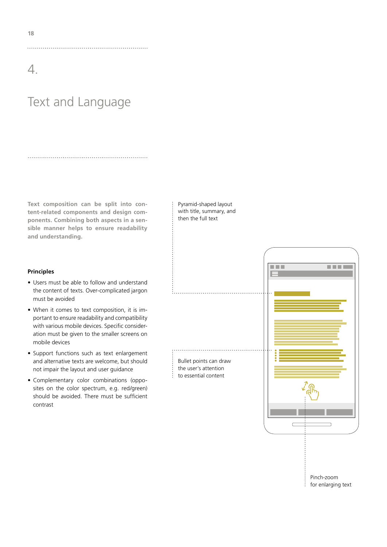# Text and Language

**Text composition can be split into content-related components and design components. Combining both aspects in a sensible manner helps to ensure readability and understanding.** 

Pyramid-shaped layout with title, summary, and then the full text

### **Principles**

- Users must be able to follow and understand the content of texts. Over-complicated jargon must be avoided
- When it comes to text composition, it is important to ensure readability and compatibility with various mobile devices. Specific consideration must be given to the smaller screens on mobile devices
- Support functions such as text enlargement and alternative texts are welcome, but should not impair the layout and user guidance
- Complementary color combinations (opposites on the color spectrum, e.g. red/green) should be avoided. There must be sufficient contrast

医胃炎 ■日本社 Bullet points can draw the user's attention  $\frac{1}{2}$  to essential content Pinch-zoom : for enlarging text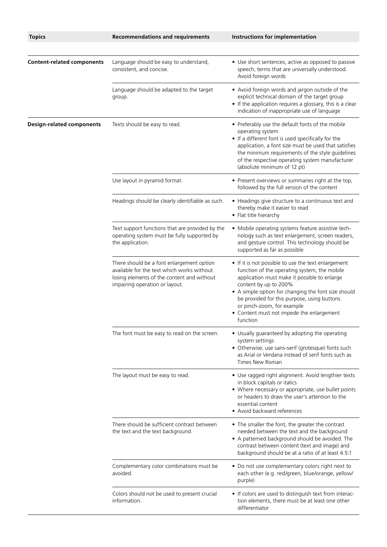| <b>Topics</b>                     | <b>Recommendations and requirements</b>                                                                                                                                 | Instructions for implementation                                                                                                                                                                                                                                                                                                                                           |
|-----------------------------------|-------------------------------------------------------------------------------------------------------------------------------------------------------------------------|---------------------------------------------------------------------------------------------------------------------------------------------------------------------------------------------------------------------------------------------------------------------------------------------------------------------------------------------------------------------------|
| <b>Content-related components</b> | Language should be easy to understand,<br>consistent, and concise.                                                                                                      | • Use short sentences, active as opposed to passive<br>speech, terms that are universally understood.<br>Avoid foreign words                                                                                                                                                                                                                                              |
|                                   | Language should be adapted to the target<br>group.                                                                                                                      | • Avoid foreign words and jargon outside of the<br>explicit technical domain of the target group<br>• If the application requires a glossary, this is a clear<br>indication of inappropriate use of language                                                                                                                                                              |
| <b>Design-related components</b>  | Texts should be easy to read.                                                                                                                                           | • Preferably use the default fonts of the mobile<br>operating system<br>• If a different font is used specifically for the<br>application, a font size must be used that satisfies<br>the minimum requirements of the style guidelines<br>of the respective operating system manufacturer<br>(absolute minimum of 12 pt)                                                  |
|                                   | Use layout in pyramid format.                                                                                                                                           | • Present overviews or summaries right at the top,<br>followed by the full version of the content                                                                                                                                                                                                                                                                         |
|                                   | Headings should be clearly identifiable as such.                                                                                                                        | • Headings give structure to a continuous text and<br>thereby make it easier to read<br>• Flat title hierarchy                                                                                                                                                                                                                                                            |
|                                   | Text support functions that are provided by the<br>operating system must be fully supported by<br>the application.                                                      | • Mobile operating systems feature assistive tech-<br>nology such as text enlargement, screen readers,<br>and gesture control. This technology should be<br>supported as far as possible                                                                                                                                                                                  |
|                                   | There should be a font enlargement option<br>available for the text which works without<br>losing elements of the content and without<br>impairing operation or layout. | • If it is not possible to use the text enlargement<br>function of the operating system, the mobile<br>application must make it possible to enlarge<br>content by up to 200%<br>• A simple option for changing the font size should<br>be provided for this purpose, using buttons<br>or pinch-zoom, for example<br>• Content must not impede the enlargement<br>function |
|                                   | The font must be easy to read on the screen.                                                                                                                            | • Usually guaranteed by adopting the operating<br>system settings<br>· Otherwise, use sans-serif (grotesque) fonts such<br>as Arial or Verdana instead of serif fonts such as<br>Times New Roman                                                                                                                                                                          |
|                                   | The layout must be easy to read.                                                                                                                                        | · Use ragged right alignment. Avoid lengthier texts<br>in block capitals or italics<br>• Where necessary or appropriate, use bullet points<br>or headers to draw the user's attention to the<br>essential content<br>• Avoid backward references                                                                                                                          |
|                                   | There should be sufficient contrast between<br>the text and the text background.                                                                                        | • The smaller the font, the greater the contrast<br>needed between the text and the background<br>• A patterned background should be avoided. The<br>contrast between content (text and image) and<br>background should be at a ratio of at least 4.5:1                                                                                                                   |
|                                   | Complementary color combinations must be<br>avoided.                                                                                                                    | • Do not use complementary colors right next to<br>each other (e.g. red/green, blue/orange, yellow/<br>purple)                                                                                                                                                                                                                                                            |
|                                   | Colors should not be used to present crucial<br>information.                                                                                                            | • If colors are used to distinguish text from interac-<br>tion elements, there must be at least one other<br>differentiator                                                                                                                                                                                                                                               |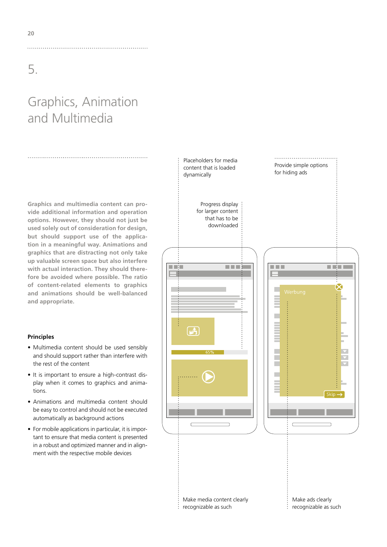# Graphics, Animation and Multimedia

**Graphics and multimedia content can provide additional information and operation options. However, they should not just be used solely out of consideration for design, but should support use of the application in a meaningful way. Animations and graphics that are distracting not only take up valuable screen space but also interfere with actual interaction. They should therefore be avoided where possible. The ratio of content-related elements to graphics and animations should be well-balanced and appropriate.**

### **Principles**

- Multimedia content should be used sensibly and should support rather than interfere with the rest of the content
- It is important to ensure a high-contrast display when it comes to graphics and animations.
- Animations and multimedia content should be easy to control and should not be executed automatically as background actions
- For mobile applications in particular, it is important to ensure that media content is presented in a robust and optimized manner and in alignment with the respective mobile devices

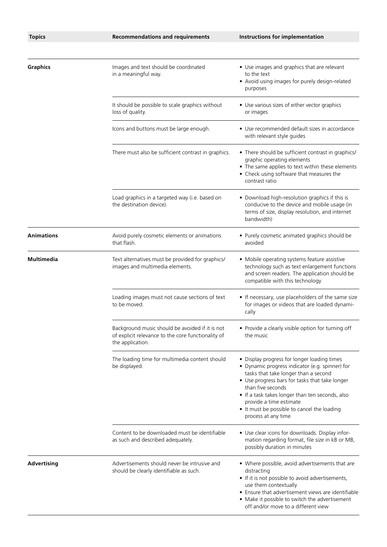| <b>Topics</b>      | <b>Recommendations and requirements</b>                                                                                   | Instructions for implementation                                                                                                                                                                                                                                                                                                                                   |
|--------------------|---------------------------------------------------------------------------------------------------------------------------|-------------------------------------------------------------------------------------------------------------------------------------------------------------------------------------------------------------------------------------------------------------------------------------------------------------------------------------------------------------------|
|                    |                                                                                                                           |                                                                                                                                                                                                                                                                                                                                                                   |
| <b>Graphics</b>    | Images and text should be coordinated<br>in a meaningful way.                                                             | • Use images and graphics that are relevant<br>to the text<br>• Avoid using images for purely design-related<br>purposes                                                                                                                                                                                                                                          |
|                    | It should be possible to scale graphics without<br>loss of quality.                                                       | • Use various sizes of either vector graphics<br>or images                                                                                                                                                                                                                                                                                                        |
|                    | Icons and buttons must be large enough.                                                                                   | • Use recommended default sizes in accordance<br>with relevant style guides                                                                                                                                                                                                                                                                                       |
|                    | There must also be sufficient contrast in graphics.                                                                       | • There should be sufficient contrast in graphics/<br>graphic operating elements<br>• The same applies to text within these elements<br>• Check using software that measures the<br>contrast ratio                                                                                                                                                                |
|                    | Load graphics in a targeted way (i.e. based on<br>the destination device).                                                | • Download high-resolution graphics if this is<br>conducive to the device and mobile usage (in<br>terms of size, display resolution, and internet<br>bandwidth)                                                                                                                                                                                                   |
| <b>Animations</b>  | Avoid purely cosmetic elements or animations<br>that flash.                                                               | • Purely cosmetic animated graphics should be<br>avoided                                                                                                                                                                                                                                                                                                          |
| <b>Multimedia</b>  | Text alternatives must be provided for graphics/<br>images and multimedia elements.                                       | • Mobile operating systems feature assistive<br>technology such as text enlargement functions<br>and screen readers. The application should be<br>compatible with this technology                                                                                                                                                                                 |
|                    | Loading images must not cause sections of text<br>to be moved.                                                            | • If necessary, use placeholders of the same size<br>for images or videos that are loaded dynami-<br>cally                                                                                                                                                                                                                                                        |
|                    | Background music should be avoided if it is not<br>of explicit relevance to the core functionality of<br>the application. | • Provide a clearly visible option for turning off<br>the music                                                                                                                                                                                                                                                                                                   |
|                    | The loading time for multimedia content should<br>be displayed.                                                           | • Display progress for longer loading times<br>• Dynamic progress indicator (e.g. spinner) for<br>tasks that take longer than a second<br>• Use progress bars for tasks that take longer<br>than five seconds<br>• If a task takes longer than ten seconds, also<br>provide a time estimate<br>• It must be possible to cancel the loading<br>process at any time |
|                    | Content to be downloaded must be identifiable<br>as such and described adequately.                                        | • Use clear icons for downloads. Display infor-<br>mation regarding format, file size in kB or MB,<br>possibly duration in minutes                                                                                                                                                                                                                                |
| <b>Advertising</b> | Advertisements should never be intrusive and<br>should be clearly identifiable as such.                                   | • Where possible, avoid advertisements that are<br>distracting<br>• If it is not possible to avoid advertisements,<br>use them contextually<br>• Ensure that advertisement views are identifiable<br>• Make it possible to switch the advertisement<br>off and/or move to a different view                                                                        |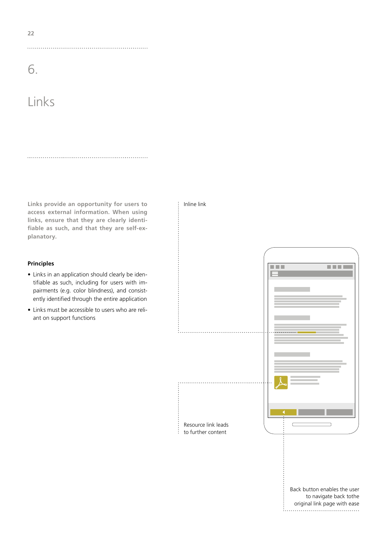6.

# Links

**Links provide an opportunity for users to access external information. When using links, ensure that they are clearly identifiable as such, and that they are self-explanatory.**

 $\vdots$  Inline link

### **Principles**

- Links in an application should clearly be identifiable as such, including for users with impairments (e.g. color blindness), and consistently identified through the entire application
- Links must be accessible to users who are reliant on support functions



**22**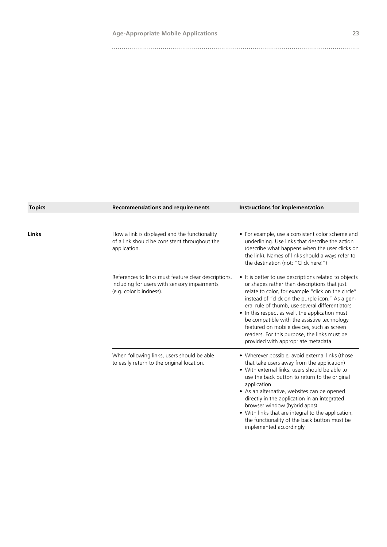| <b>Topics</b> | <b>Recommendations and requirements</b>                                                                                         | Instructions for implementation                                                                                                                                                                                                                                                                                                                                                                                                                                                                          |
|---------------|---------------------------------------------------------------------------------------------------------------------------------|----------------------------------------------------------------------------------------------------------------------------------------------------------------------------------------------------------------------------------------------------------------------------------------------------------------------------------------------------------------------------------------------------------------------------------------------------------------------------------------------------------|
|               |                                                                                                                                 |                                                                                                                                                                                                                                                                                                                                                                                                                                                                                                          |
| Links         | How a link is displayed and the functionality<br>of a link should be consistent throughout the<br>application.                  | • For example, use a consistent color scheme and<br>underlining. Use links that describe the action<br>(describe what happens when the user clicks on<br>the link). Names of links should always refer to<br>the destination (not: "Click here!")                                                                                                                                                                                                                                                        |
|               | References to links must feature clear descriptions,<br>including for users with sensory impairments<br>(e.g. color blindness). | • It is better to use descriptions related to objects<br>or shapes rather than descriptions that just<br>relate to color, for example "click on the circle"<br>instead of "click on the purple icon." As a gen-<br>eral rule of thumb, use several differentiators<br>• In this respect as well, the application must<br>be compatible with the assistive technology<br>featured on mobile devices, such as screen<br>readers. For this purpose, the links must be<br>provided with appropriate metadata |
|               | When following links, users should be able<br>to easily return to the original location.                                        | • Wherever possible, avoid external links (those<br>that take users away from the application)<br>• With external links, users should be able to<br>use the back button to return to the original<br>application<br>• As an alternative, websites can be opened<br>directly in the application in an integrated<br>browser window (hybrid apps)<br>• With links that are integral to the application,<br>the functionality of the back button must be<br>implemented accordingly                         |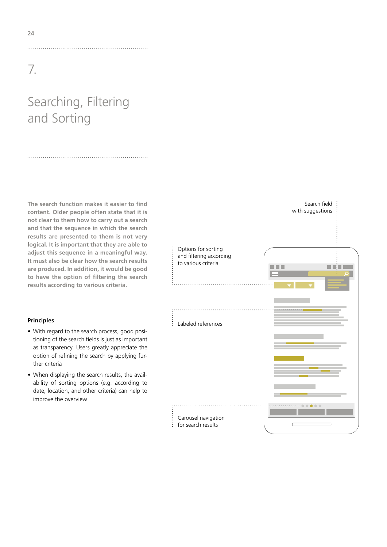# Searching, Filtering and Sorting

**The search function makes it easier to find content. Older people often state that it is not clear to them how to carry out a search and that the sequence in which the search results are presented to them is not very logical. It is important that they are able to adjust this sequence in a meaningful way. It must also be clear how the search results are produced. In addition, it would be good to have the option of filtering the search results according to various criteria.**

### **Principles**

- With regard to the search process, good positioning of the search fields is just as important as transparency. Users greatly appreciate the option of refining the search by applying further criteria
- When displaying the search results, the availability of sorting options (e.g. according to date, location, and other criteria) can help to improve the overview

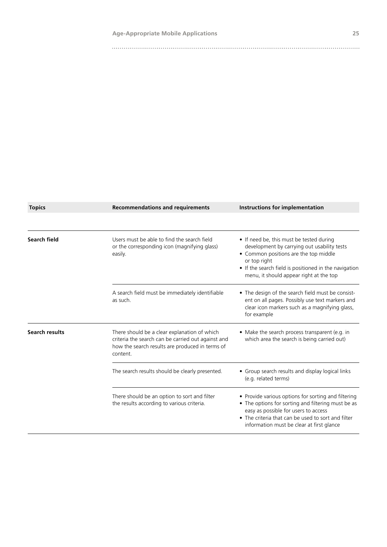| <b>Topics</b>         | <b>Recommendations and requirements</b>                                                                                                                           | Instructions for implementation                                                                                                                                                                                                                      |
|-----------------------|-------------------------------------------------------------------------------------------------------------------------------------------------------------------|------------------------------------------------------------------------------------------------------------------------------------------------------------------------------------------------------------------------------------------------------|
|                       |                                                                                                                                                                   |                                                                                                                                                                                                                                                      |
| Search field          | Users must be able to find the search field<br>or the corresponding icon (magnifying glass)<br>easily.                                                            | • If need be, this must be tested during<br>development by carrying out usability tests<br>• Common positions are the top middle<br>or top right<br>• If the search field is positioned in the navigation<br>menu, it should appear right at the top |
|                       | A search field must be immediately identifiable<br>as such.                                                                                                       | • The design of the search field must be consist-<br>ent on all pages. Possibly use text markers and<br>clear icon markers such as a magnifying glass,<br>for example                                                                                |
| <b>Search results</b> | There should be a clear explanation of which<br>criteria the search can be carried out against and<br>how the search results are produced in terms of<br>content. | • Make the search process transparent (e.g. in<br>which area the search is being carried out)                                                                                                                                                        |
|                       | The search results should be clearly presented.                                                                                                                   | • Group search results and display logical links<br>(e.g. related terms)                                                                                                                                                                             |
|                       | There should be an option to sort and filter<br>the results according to various criteria.                                                                        | • Provide various options for sorting and filtering<br>• The options for sorting and filtering must be as<br>easy as possible for users to access<br>• The criteria that can be used to sort and filter<br>information must be clear at first glance |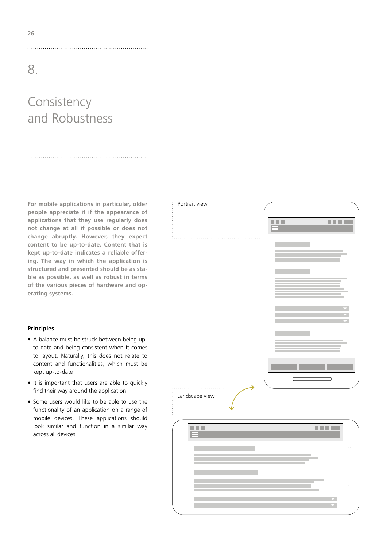# Consistency and Robustness

**For mobile applications in particular, older people appreciate it if the appearance of applications that they use regularly does not change at all if possible or does not change abruptly. However, they expect content to be up-to-date. Content that is kept up-to-date indicates a reliable offering. The way in which the application is structured and presented should be as stable as possible, as well as robust in terms of the various pieces of hardware and operating systems.** 

### **Principles**

- A balance must be struck between being upto-date and being consistent when it comes to layout. Naturally, this does not relate to content and functionalities, which must be kept up-to-date
- It is important that users are able to quickly find their way around the application
- Some users would like to be able to use the functionality of an application on a range of mobile devices. These applications should look similar and function in a similar way across all devices

Portrait view

Landscape view

# 医胃炎 医胃胃炎

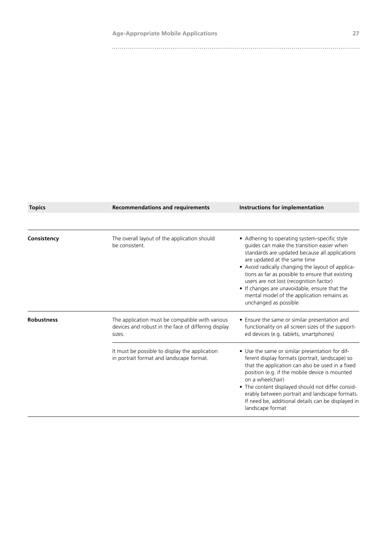| <b>Topics</b>     | <b>Recommendations and requirements</b>                                                                          | Instructions for implementation                                                                                                                                                                                                                                                                                                                                                                                                                           |
|-------------------|------------------------------------------------------------------------------------------------------------------|-----------------------------------------------------------------------------------------------------------------------------------------------------------------------------------------------------------------------------------------------------------------------------------------------------------------------------------------------------------------------------------------------------------------------------------------------------------|
|                   |                                                                                                                  |                                                                                                                                                                                                                                                                                                                                                                                                                                                           |
| Consistency       | The overall layout of the application should<br>be consistent.                                                   | • Adhering to operating system-specific style<br>guides can make the transition easier when<br>standards are updated because all applications<br>are updated at the same time<br>• Avoid radically changing the layout of applica-<br>tions as far as possible to ensure that existing<br>users are not lost (recognition factor)<br>• If changes are unavoidable, ensure that the<br>mental model of the application remains as<br>unchanged as possible |
| <b>Robustness</b> | The application must be compatible with various<br>devices and robust in the face of differing display<br>sizes. | • Ensure the same or similar presentation and<br>functionality on all screen sizes of the support-<br>ed devices (e.g. tablets, smartphones)                                                                                                                                                                                                                                                                                                              |
|                   | It must be possible to display the application<br>in portrait format and landscape format.                       | • Use the same or similar presentation for dif-<br>ferent display formats (portrait, landscape) so<br>that the application can also be used in a fixed<br>position (e.g. if the mobile device is mounted<br>on a wheelchair)<br>• The content displayed should not differ consid-<br>erably between portrait and landscape formats.<br>If need be, additional details can be displayed in<br>landscape format                                             |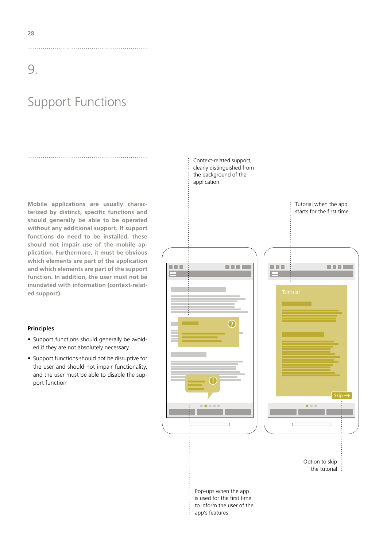# Support Functions

**Mobile applications are usually characterized by distinct, specific functions and should generally be able to be operated without any additional support. If support functions do need to be installed, these should not impair use of the mobile application. Furthermore, it must be obvious which elements are part of the application and which elements are part of the support function. In addition, the user must not be inundated with information (context-related support).**

### **Principles**

- Support functions should generally be avoided if they are not absolutely necessary
- Support functions should not be disruptive for the user and should not impair functionality, and the user must be able to disable the support function

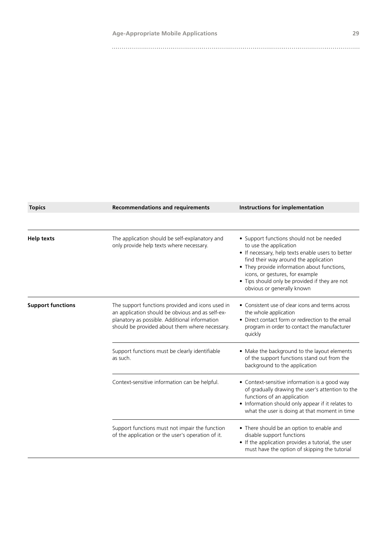| <b>Topics</b>            | <b>Recommendations and requirements</b>                                                                                                                                                                 | Instructions for implementation                                                                                                                                                                                                                                                                                                    |
|--------------------------|---------------------------------------------------------------------------------------------------------------------------------------------------------------------------------------------------------|------------------------------------------------------------------------------------------------------------------------------------------------------------------------------------------------------------------------------------------------------------------------------------------------------------------------------------|
|                          |                                                                                                                                                                                                         |                                                                                                                                                                                                                                                                                                                                    |
| Help texts               | The application should be self-explanatory and<br>only provide help texts where necessary.                                                                                                              | • Support functions should not be needed<br>to use the application<br>• If necessary, help texts enable users to better<br>find their way around the application<br>• They provide information about functions,<br>icons, or gestures, for example<br>• Tips should only be provided if they are not<br>obvious or generally known |
| <b>Support functions</b> | The support functions provided and icons used in<br>an application should be obvious and as self-ex-<br>planatory as possible. Additional information<br>should be provided about them where necessary. | • Consistent use of clear icons and terms across<br>the whole application<br>• Direct contact form or redirection to the email<br>program in order to contact the manufacturer<br>quickly                                                                                                                                          |
|                          | Support functions must be clearly identifiable<br>as such.                                                                                                                                              | • Make the background to the layout elements<br>of the support functions stand out from the<br>background to the application                                                                                                                                                                                                       |
|                          | Context-sensitive information can be helpful.                                                                                                                                                           | • Context-sensitive information is a good way<br>of gradually drawing the user's attention to the<br>functions of an application<br>• Information should only appear if it relates to<br>what the user is doing at that moment in time                                                                                             |
|                          | Support functions must not impair the function<br>of the application or the user's operation of it.                                                                                                     | • There should be an option to enable and<br>disable support functions<br>• If the application provides a tutorial, the user<br>must have the option of skipping the tutorial                                                                                                                                                      |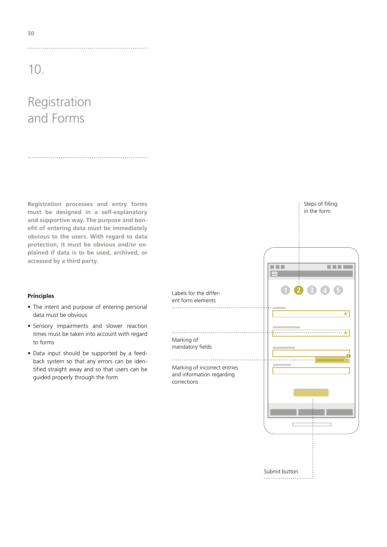# Registration and Forms

**Registration processes and entry forms must be designed in a self-explanatory and supportive way. The purpose and benefit of entering data must be immediately obvious to the users. With regard to data protection, it must be obvious and/or explained if data is to be used, archived, or accessed by a third party.** 

### **Principles**

- The intent and purpose of entering personal data must be obvious
- Sensory impairments and slower reaction times must be taken into account with regard to forms
- Data input should be supported by a feedback system so that any errors can be identified straight away and so that users can be guided properly through the form



Steps of filling in the form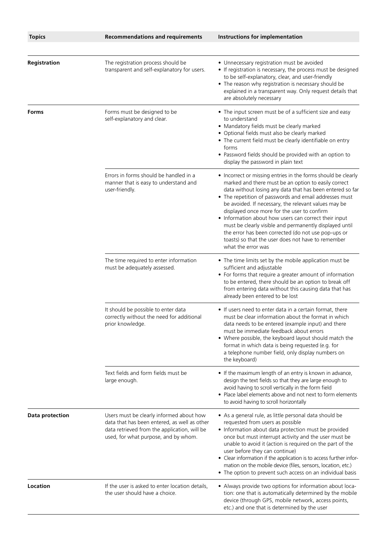| <b>Topics</b>          | <b>Recommendations and requirements</b>                                                                                                                                          | Instructions for implementation                                                                                                                                                                                                                                                                                                                                                                                                                                                                                                                                                                            |
|------------------------|----------------------------------------------------------------------------------------------------------------------------------------------------------------------------------|------------------------------------------------------------------------------------------------------------------------------------------------------------------------------------------------------------------------------------------------------------------------------------------------------------------------------------------------------------------------------------------------------------------------------------------------------------------------------------------------------------------------------------------------------------------------------------------------------------|
| Registration           | The registration process should be<br>transparent and self-explanatory for users.                                                                                                | • Unnecessary registration must be avoided<br>• If registration is necessary, the process must be designed<br>to be self-explanatory, clear, and user-friendly<br>• The reason why registration is necessary should be<br>explained in a transparent way. Only request details that<br>are absolutely necessary                                                                                                                                                                                                                                                                                            |
| Forms                  | Forms must be designed to be<br>self-explanatory and clear.                                                                                                                      | • The input screen must be of a sufficient size and easy<br>to understand<br>• Mandatory fields must be clearly marked<br>• Optional fields must also be clearly marked<br>• The current field must be clearly identifiable on entry<br>forms<br>• Password fields should be provided with an option to<br>display the password in plain text                                                                                                                                                                                                                                                              |
|                        | Errors in forms should be handled in a<br>manner that is easy to understand and<br>user-friendly.                                                                                | • Incorrect or missing entries in the forms should be clearly<br>marked and there must be an option to easily correct<br>data without losing any data that has been entered so far<br>• The repetition of passwords and email addresses must<br>be avoided. If necessary, the relevant values may be<br>displayed once more for the user to confirm<br>• Information about how users can correct their input<br>must be clearly visible and permanently displayed until<br>the error has been corrected (do not use pop-ups or<br>toasts) so that the user does not have to remember<br>what the error was |
|                        | The time required to enter information<br>must be adequately assessed.                                                                                                           | • The time limits set by the mobile application must be<br>sufficient and adjustable<br>• For forms that require a greater amount of information<br>to be entered, there should be an option to break off<br>from entering data without this causing data that has<br>already been entered to be lost                                                                                                                                                                                                                                                                                                      |
|                        | It should be possible to enter data<br>correctly without the need for additional<br>prior knowledge.                                                                             | • If users need to enter data in a certain format, there<br>must be clear information about the format in which<br>data needs to be entered (example input) and there<br>must be immediate feedback about errors<br>• Where possible, the keyboard layout should match the<br>format in which data is being requested (e.g. for<br>a telephone number field, only display numbers on<br>the keyboard)                                                                                                                                                                                                      |
|                        | Text fields and form fields must be<br>large enough.                                                                                                                             | • If the maximum length of an entry is known in advance,<br>design the text fields so that they are large enough to<br>avoid having to scroll vertically in the form field<br>• Place label elements above and not next to form elements<br>to avoid having to scroll horizontally                                                                                                                                                                                                                                                                                                                         |
| <b>Data protection</b> | Users must be clearly informed about how<br>data that has been entered, as well as other<br>data retrieved from the application, will be<br>used, for what purpose, and by whom. | • As a general rule, as little personal data should be<br>requested from users as possible<br>• Information about data protection must be provided<br>once but must interrupt activity and the user must be<br>unable to avoid it (action is required on the part of the<br>user before they can continue)<br>• Clear information if the application is to access further infor-<br>mation on the mobile device (files, sensors, location, etc.)<br>• The option to prevent such access on an individual basis                                                                                             |
| Location               | If the user is asked to enter location details,<br>the user should have a choice.                                                                                                | • Always provide two options for information about loca-<br>tion: one that is automatically determined by the mobile<br>device (through GPS, mobile network, access points,<br>etc.) and one that is determined by the user                                                                                                                                                                                                                                                                                                                                                                                |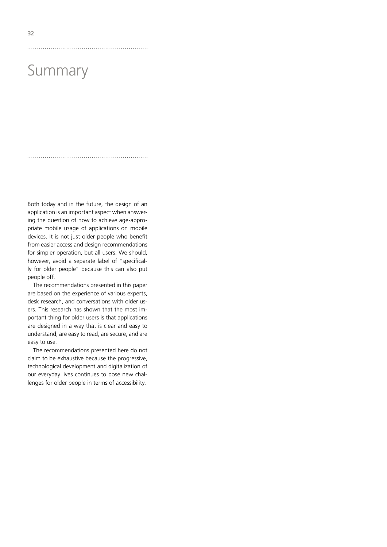# Summary

Both today and in the future, the design of an application is an important aspect when answering the question of how to achieve age-appropriate mobile usage of applications on mobile devices. It is not just older people who benefit from easier access and design recommendations for simpler operation, but all users. We should, however, avoid a separate label of "specifically for older people" because this can also put people off.

The recommendations presented in this paper are based on the experience of various experts, desk research, and conversations with older users. This research has shown that the most important thing for older users is that applications are designed in a way that is clear and easy to understand, are easy to read, are secure, and are easy to use.

The recommendations presented here do not claim to be exhaustive because the progressive, technological development and digitalization of our everyday lives continues to pose new challenges for older people in terms of accessibility.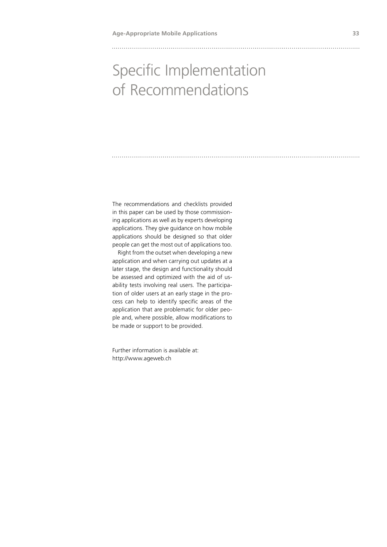# Specific Implementation of Recommendations

The recommendations and checklists provided in this paper can be used by those commissioning applications as well as by experts developing applications. They give guidance on how mobile applications should be designed so that older people can get the most out of applications too.

Right from the outset when developing a new application and when carrying out updates at a later stage, the design and functionality should be assessed and optimized with the aid of usability tests involving real users. The participation of older users at an early stage in the process can help to identify specific areas of the application that are problematic for older people and, where possible, allow modifications to be made or support to be provided.

Further information is available at: http://www.ageweb.ch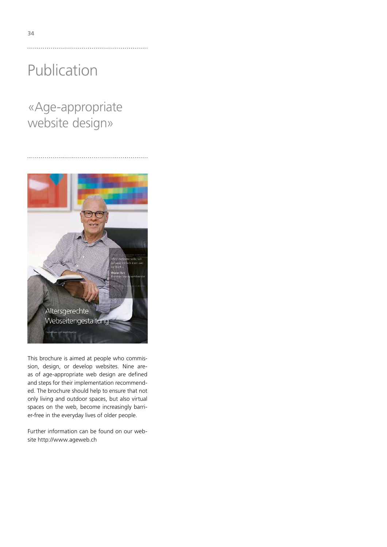«Age-appropriate website design»



This brochure is aimed at people who commission, design, or develop websites. Nine areas of age-appropriate web design are defined and steps for their implementation recommended. The brochure should help to ensure that not only living and outdoor spaces, but also virtual spaces on the web, become increasingly barrier-free in the everyday lives of older people.

Further information can be found on our website http://www.ageweb.ch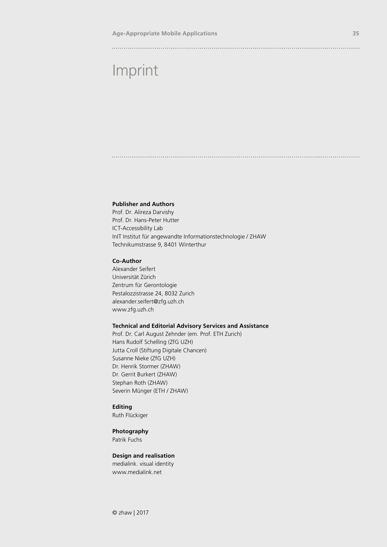### 

# Imprint

### **Publisher and Authors**

Prof. Dr. Alireza Darvishy Prof. Dr. Hans-Peter Hutter ICT-Accessibility Lab InIT Institut für angewandte Informationstechnologie / ZHAW Technikumstrasse 9, 8401 Winterthur

### **Co-Author**

Alexander Seifert Universität Zürich Zentrum für Gerontologie Pestalozzistrasse 24, 8032 Zurich alexander.seifert@zfg.uzh.ch www.zfg.uzh.ch

### **Technical and Editorial Advisory Services and Assistance**

Prof. Dr. Carl August Zehnder (em. Prof. ETH Zurich) Hans Rudolf Schelling (ZfG UZH) Jutta Croll (Stiftung Digitale Chancen) Susanne Nieke (ZfG UZH) Dr. Henrik Stormer (ZHAW) Dr. Gerrit Burkert (ZHAW) Stephan Roth (ZHAW) Severin Münger (ETH / ZHAW)

### **Editing**

Ruth Flückiger

### **Photography**

Patrik Fuchs

### **Design and realisation**

medialink. visual identity www.medialink.net